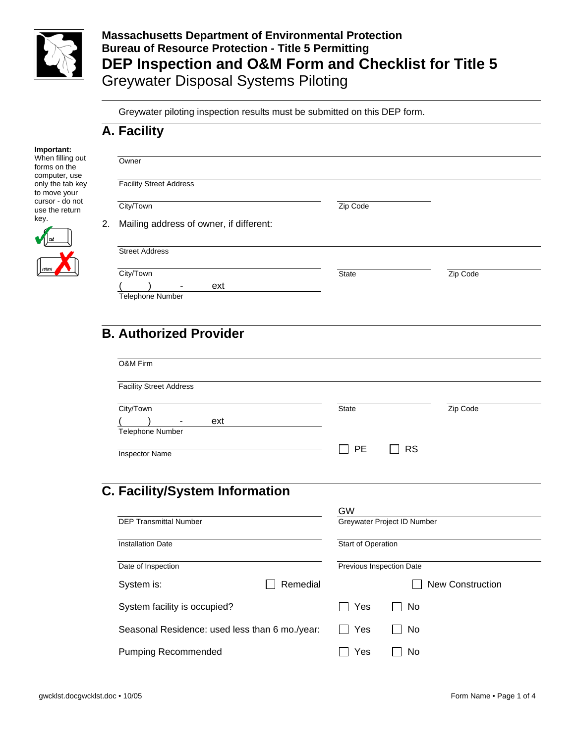

**Massachusetts Department of Environmental Protection Bureau of Resource Protection - Title 5 Permitting DEP Inspection and O&M Form and Checklist for Title 5**  Greywater Disposal Systems Piloting

Greywater piloting inspection results must be submitted on this DEP form.

#### **A. Facility**

| Important:                                        |    |                                         |          |          |  |
|---------------------------------------------------|----|-----------------------------------------|----------|----------|--|
| When filling out<br>forms on the<br>computer, use |    | Owner                                   |          |          |  |
| only the tab key<br>to move your                  |    | <b>Facility Street Address</b>          |          |          |  |
| cursor - do not<br>use the return                 |    | City/Town                               | Zip Code |          |  |
| key.<br>$\sqrt{\frac{1}{2}}$                      | 2. | Mailing address of owner, if different: |          |          |  |
|                                                   |    | <b>Street Address</b>                   |          |          |  |
|                                                   |    | City/Town                               | State    | Zip Code |  |
|                                                   |    | ext<br><b>Telephone Number</b>          |          |          |  |

# **B. Authorized Provider**

| <b>Facility Street Address</b>        |          |                    |                             |                         |
|---------------------------------------|----------|--------------------|-----------------------------|-------------------------|
|                                       |          |                    |                             |                         |
| City/Town                             |          | <b>State</b>       |                             | Zip Code                |
| ext                                   |          |                    |                             |                         |
| Telephone Number                      |          |                    |                             |                         |
|                                       |          | <b>PE</b>          | <b>RS</b>                   |                         |
| <b>Inspector Name</b>                 |          |                    |                             |                         |
|                                       |          |                    |                             |                         |
|                                       |          |                    |                             |                         |
|                                       |          |                    |                             |                         |
|                                       |          |                    |                             |                         |
| <b>C. Facility/System Information</b> |          |                    |                             |                         |
|                                       |          | GW                 |                             |                         |
| <b>DEP Transmittal Number</b>         |          |                    | Greywater Project ID Number |                         |
|                                       |          |                    |                             |                         |
| <b>Installation Date</b>              |          | Start of Operation |                             |                         |
|                                       |          |                    |                             |                         |
| Date of Inspection                    |          |                    | Previous Inspection Date    |                         |
|                                       |          |                    |                             |                         |
| System is:                            | Remedial |                    |                             | <b>New Construction</b> |
| System facility is occupied?          |          | Yes                | No                          |                         |

Seasonal Residence: used less than 6 mo./year:  $\Box$  Yes  $\Box$  No

Pumping Recommended and The Table T No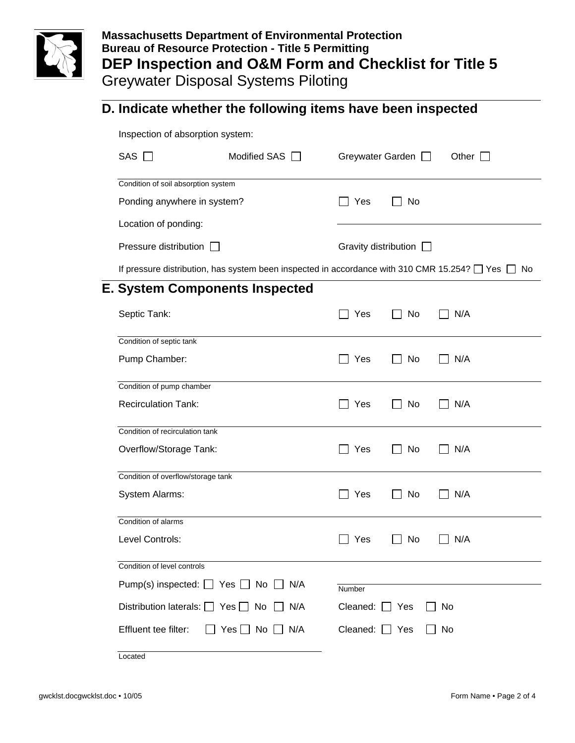

## **Massachusetts Department of Environmental Protection Bureau of Resource Protection - Title 5 Permitting DEP Inspection and O&M Form and Checklist for Title 5**  Greywater Disposal Systems Piloting

### **D. Indicate whether the following items have been inspected**

Inspection of absorption system:

| SAS I I                                                                                                     | Modified SAS                          | Greywater Garden            |     | Other I |  |  |
|-------------------------------------------------------------------------------------------------------------|---------------------------------------|-----------------------------|-----|---------|--|--|
| Condition of soil absorption system                                                                         |                                       |                             |     |         |  |  |
| Ponding anywhere in system?                                                                                 |                                       | Yes                         | No. |         |  |  |
| Location of ponding:                                                                                        |                                       |                             |     |         |  |  |
| Pressure distribution                                                                                       |                                       | Gravity distribution $\Box$ |     |         |  |  |
| If pressure distribution, has system been inspected in accordance with 310 CMR 15.254? $\Box$ Yes $\Box$ No |                                       |                             |     |         |  |  |
|                                                                                                             | <b>E. System Components Inspected</b> |                             |     |         |  |  |

| Septic Tank:                                          | Yes                    | N/A<br>No |
|-------------------------------------------------------|------------------------|-----------|
| Condition of septic tank                              |                        |           |
| Pump Chamber:                                         | Yes                    | N/A<br>No |
| Condition of pump chamber                             |                        |           |
| <b>Recirculation Tank:</b>                            | Yes<br>$\mathbf{1}$    | No<br>N/A |
| Condition of recirculation tank                       |                        |           |
| Overflow/Storage Tank:                                | Yes                    | No<br>N/A |
| Condition of overflow/storage tank                    |                        |           |
| System Alarms:                                        | Yes                    | N/A<br>No |
| Condition of alarms                                   |                        |           |
| Level Controls:                                       | Yes<br>$\mathbf{1}$    | No<br>N/A |
| Condition of level controls                           |                        |           |
| Pump(s) inspected: $\Box$ Yes $\Box$ No $\Box$<br>N/A | Number                 |           |
| Distribution laterals: $\Box$ Yes $\Box$ No<br>N/A    | Cleaned: $\Box$<br>Yes | No        |
| Effluent tee filter:<br>N/A<br>$Yes \mid \mid No$     | Cleaned: $\Box$ Yes    | No        |
| Located                                               |                        |           |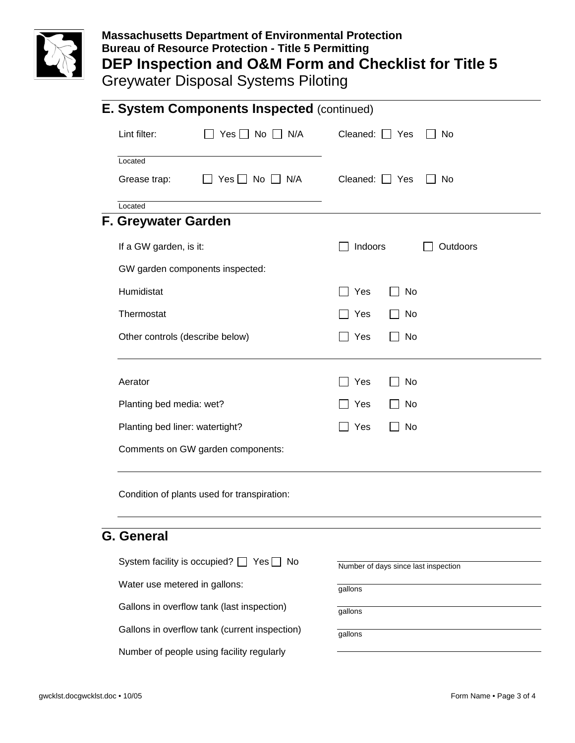

## **Massachusetts Department of Environmental Protection Bureau of Resource Protection - Title 5 Permitting DEP Inspection and O&M Form and Checklist for Title 5**  Greywater Disposal Systems Piloting

|                                 | <b>E. System Components Inspected (continued)</b> |                                      |       |          |  |
|---------------------------------|---------------------------------------------------|--------------------------------------|-------|----------|--|
| Lint filter:                    | Yes $\Box$ No $\Box$<br>N/A                       | Cleaned: [                           | Yes   | No       |  |
| Located                         |                                                   |                                      |       |          |  |
| Grease trap:                    | $\Box$ No $\Box$ N/A<br>Yes I                     | Cleaned: [                           | ∣ Yes | No       |  |
| Located                         |                                                   |                                      |       |          |  |
| F. Greywater Garden             |                                                   |                                      |       |          |  |
| If a GW garden, is it:          |                                                   | Indoors                              |       | Outdoors |  |
| GW garden components inspected: |                                                   |                                      |       |          |  |
| Humidistat                      |                                                   | Yes                                  | No    |          |  |
| Thermostat                      |                                                   | Yes                                  | No    |          |  |
| Other controls (describe below) |                                                   | Yes                                  | No    |          |  |
| Aerator                         |                                                   | Yes                                  | No    |          |  |
| Planting bed media: wet?        |                                                   | Yes                                  | No    |          |  |
| Planting bed liner: watertight? |                                                   | Yes                                  | No    |          |  |
|                                 | Comments on GW garden components:                 |                                      |       |          |  |
|                                 | Condition of plants used for transpiration:       |                                      |       |          |  |
| <b>G.</b> General               |                                                   |                                      |       |          |  |
|                                 | System facility is occupied? $\Box$ Yes $\Box$ No |                                      |       |          |  |
|                                 |                                                   | Number of days since last inspection |       |          |  |
| Water use metered in gallons:   |                                                   | gallons                              |       |          |  |
|                                 | Gallons in overflow tank (last inspection)        | gallons                              |       |          |  |
|                                 | Gallons in overflow tank (current inspection)     | gallons                              |       |          |  |
|                                 | Number of people using facility regularly         |                                      |       |          |  |